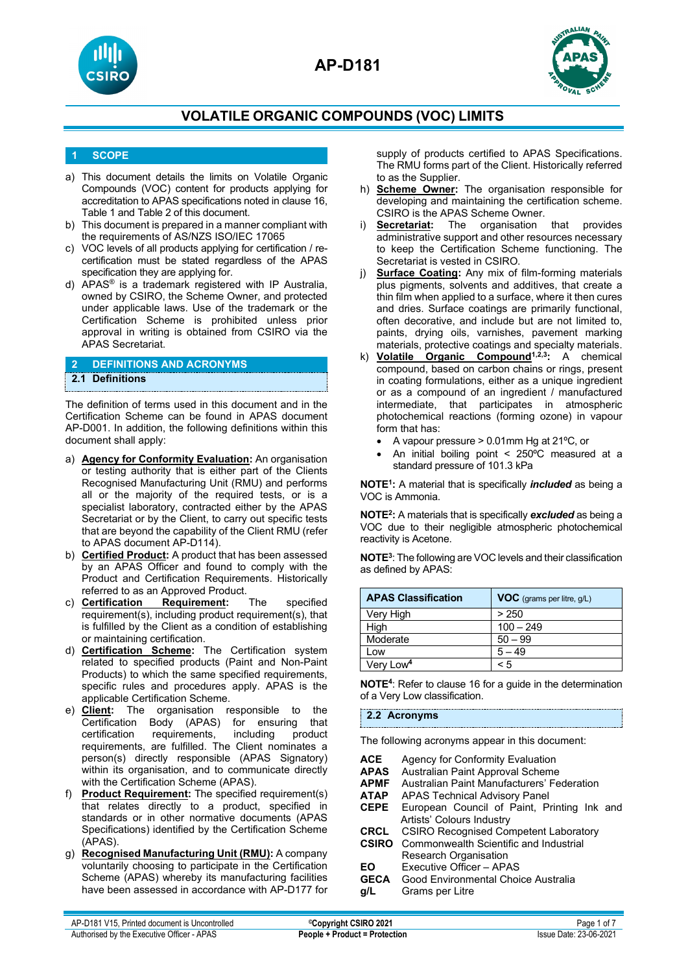





**AP-D181**

## **1 SCOPE**

- a) This document details the limits on Volatile Organic Compounds (VOC) content for products applying for accreditation to APAS specifications noted in clause 16, Table 1 and Table 2 of this document.
- b) This document is prepared in a manner compliant with the requirements of AS/NZS ISO/IEC 17065
- c) VOC levels of all products applying for certification / recertification must be stated regardless of the APAS specification they are applying for.
- d) APAS® is a trademark registered with IP Australia, owned by CSIRO, the Scheme Owner, and protected under applicable laws. Use of the trademark or the Certification Scheme is prohibited unless prior approval in writing is obtained from CSIRO via the APAS Secretariat.

| 2 DEFINITIONS AND ACRONYMS |
|----------------------------|
| 2.1 Definitions            |

The definition of terms used in this document and in the Certification Scheme can be found in APAS document AP-D001. In addition, the following definitions within this document shall apply:

- a) **Agency for Conformity Evaluation:** An organisation or testing authority that is either part of the Clients Recognised Manufacturing Unit (RMU) and performs all or the majority of the required tests, or is a specialist laboratory, contracted either by the APAS Secretariat or by the Client, to carry out specific tests that are beyond the capability of the Client RMU (refer to APAS document AP-D114).
- b) **Certified Product:** A product that has been assessed by an APAS Officer and found to comply with the Product and Certification Requirements. Historically referred to as an Approved Product.<br>c) **Certification Requirement:**
- c) **Certification Requirement:** The specified requirement(s), including product requirement(s), that is fulfilled by the Client as a condition of establishing or maintaining certification.
- d) **Certification Scheme:** The Certification system related to specified products (Paint and Non-Paint Products) to which the same specified requirements, specific rules and procedures apply. APAS is the applicable Certification Scheme.
- e) **Client:** The organisation responsible to the Certification Body (APAS) for ensuring that certification requirements, including product requirements, are fulfilled. The Client nominates a person(s) directly responsible (APAS Signatory) within its organisation, and to communicate directly with the Certification Scheme (APAS).
- f) **Product Requirement:** The specified requirement(s) that relates directly to a product, specified in standards or in other normative documents (APAS Specifications) identified by the Certification Scheme (APAS).
- g) **Recognised Manufacturing Unit (RMU):** A company voluntarily choosing to participate in the Certification Scheme (APAS) whereby its manufacturing facilities have been assessed in accordance with AP-D177 for

supply of products certified to APAS Specifications. The RMU forms part of the Client. Historically referred to as the Supplier.

- h) **Scheme Owner:** The organisation responsible for developing and maintaining the certification scheme. CSIRO is the APAS Scheme Owner.
- i) **Secretariat:** The organisation that provides administrative support and other resources necessary to keep the Certification Scheme functioning. The Secretariat is vested in CSIRO.
- j) **Surface Coating:** Any mix of film-forming materials plus pigments, solvents and additives, that create a thin film when applied to a surface, where it then cures and dries. Surface coatings are primarily functional, often decorative, and include but are not limited to, paints, drying oils, varnishes, pavement marking materials, protective coatings and specialty materials.
- k) **Volatile Organic Compound**<sup>1,2,3</sup>: A chemical compound, based on carbon chains or rings, present in coating formulations, either as a unique ingredient or as a compound of an ingredient / manufactured intermediate, that participates in atmospheric photochemical reactions (forming ozone) in vapour form that has:
	- A vapour pressure > 0.01mm Hg at 21ºC, or
	- An initial boiling point < 250ºC measured at a standard pressure of 101.3 kPa

**NOTE1:** A material that is specifically *included* as being a VOC is Ammonia.

**NOTE2:** A materials that is specifically *excluded* as being a VOC due to their negligible atmospheric photochemical reactivity is Acetone.

**NOTE3**: The following are VOC levels and their classification as defined by APAS:

| <b>APAS Classification</b> | <b>VOC</b> (grams per litre, g/L) |
|----------------------------|-----------------------------------|
| Very High                  | > 250                             |
| High                       | $100 - 249$                       |
| Moderate                   | $50 - 99$                         |
| Low                        | $5 - 49$                          |
| Very Low <sup>4</sup>      | $\leq 5$                          |

**NOTE4**: Refer to clause 16 for a guide in the determination of a Very Low classification.

## **2.2 Acronyms**

The following acronyms appear in this document:

- **ACE** Agency for Conformity Evaluation<br>**APAS** Australian Paint Approval Scheme **APAS** Australian Paint Approval Scheme **APMF** Australian Paint Manufacturers' Federation<br>**ATAP** APAS Technical Advisory Panel **ATAP** APAS Technical Advisory Panel<br>**CEPE** European Council of Paint, P European Council of Paint, Printing Ink and Artists' Colours Industry<br>CRCL CSIRO Recognised Cor **CRCL** CSIRO Recognised Competent Laboratory<br>**CSIRO** Commonwealth Scientific and Industrial **Commonwealth Scientific and Industrial** Research Organisation **EO** Executive Officer – APAS<br>**GECA** Good Environmental Choi **GECA** Good Environmental Choice Australia<br>g/L Grams per Litre
- **Grams per Litre**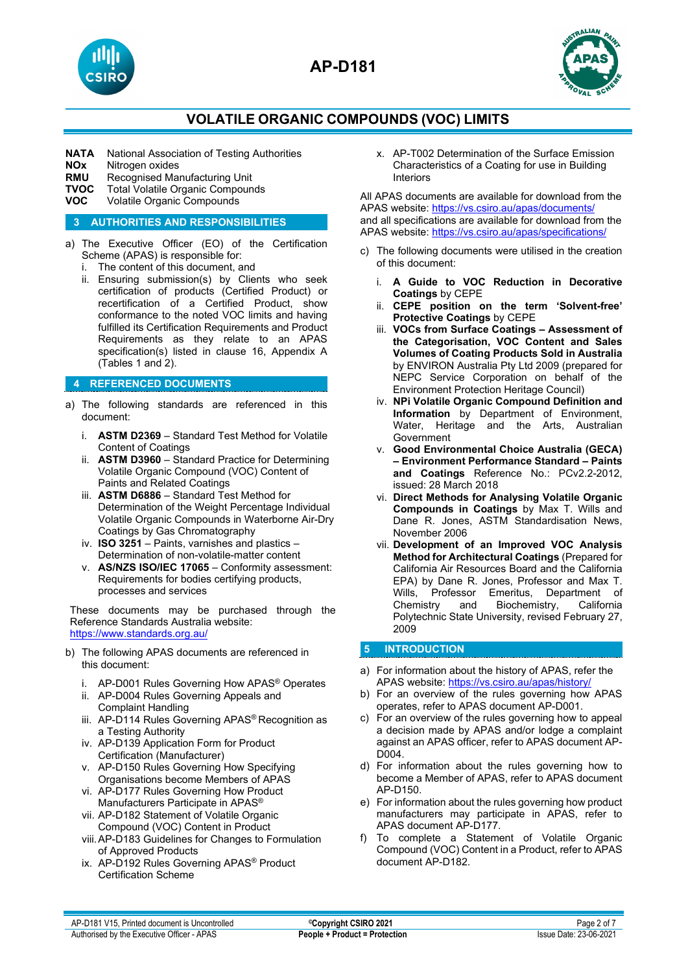



**NATA** National Association of Testing Authorities<br>**NOx** Nitrogen oxides

**NOx** Nitrogen oxides<br>**RMU** Recognised Mar

- **RMU** Recognised Manufacturing Unit<br>**TVOC** Total Volatile Organic Compoun
- **TVOC** Total Volatile Organic Compounds<br>**VOC** Volatile Organic Compounds
- **Volatile Organic Compounds**

### **3 AUTHORITIES AND RESPONSIBILITIES**

- a) The Executive Officer (EO) of the Certification Scheme (APAS) is responsible for:
	- i. The content of this document, and
	- ii. Ensuring submission(s) by Clients who seek certification of products (Certified Product) or recertification of a Certified Product, show conformance to the noted VOC limits and having fulfilled its Certification Requirements and Product Requirements as they relate to an APAS specification(s) listed in clause 16, Appendix A (Tables 1 and 2).

## **4 REFERENCED DOCUMENTS**

- a) The following standards are referenced in this document:
	- i. **ASTM D2369** Standard Test Method for Volatile Content of Coatings
	- ii. **ASTM D3960** Standard Practice for Determining Volatile Organic Compound (VOC) Content of Paints and Related Coatings
	- iii. **ASTM D6886**  Standard Test Method for Determination of the Weight Percentage Individual Volatile Organic Compounds in Waterborne Air-Dry Coatings by Gas Chromatography
	- iv. **ISO 3251**  Paints, varnishes and plastics Determination of non-volatile-matter content
	- v. **AS/NZS ISO/IEC 17065**  Conformity assessment: Requirements for bodies certifying products, processes and services

These documents may be purchased through the Reference Standards Australia website: <https://www.standards.org.au/>

- b) The following APAS documents are referenced in this document:
	- i. AP-D001 Rules Governing How APAS® Operates
	- ii. AP-D004 Rules Governing Appeals and Complaint Handling
	- iii. AP-D114 Rules Governing APAS® Recognition as a Testing Authority
	- iv. AP-D139 Application Form for Product Certification (Manufacturer)
	- v. AP-D150 Rules Governing How Specifying Organisations become Members of APAS
	- vi. AP-D177 Rules Governing How Product Manufacturers Participate in APAS®
	- vii. AP-D182 Statement of Volatile Organic Compound (VOC) Content in Product
	- viii.AP-D183 Guidelines for Changes to Formulation of Approved Products
	- ix. AP-D192 Rules Governing APAS® Product Certification Scheme

x. AP-T002 Determination of the Surface Emission Characteristics of a Coating for use in Building Interiors

All APAS documents are available for download from the APAS website: <https://vs.csiro.au/apas/documents/> and all specifications are available for download from the APAS website: <https://vs.csiro.au/apas/specifications/>

- c) The following documents were utilised in the creation of this document:
	- i. **A Guide to VOC Reduction in Decorative Coatings** by CEPE
	- ii. **CEPE position on the term 'Solvent-free' Protective Coatings** by CEPE
	- iii. **VOCs from Surface Coatings – Assessment of the Categorisation, VOC Content and Sales Volumes of Coating Products Sold in Australia** by ENVIRON Australia Pty Ltd 2009 (prepared for NEPC Service Corporation on behalf of the Environment Protection Heritage Council)
	- iv. **NPi Volatile Organic Compound Definition and Information** by Department of Environment, Water, Heritage and the Arts, Australian Government
	- v. **Good Environmental Choice Australia (GECA) – Environment Performance Standard – Paints and Coatings** Reference No.: PCv2.2-2012, issued: 28 March 2018
	- vi. **Direct Methods for Analysing Volatile Organic Compounds in Coatings** by Max T. Wills and Dane R. Jones, ASTM Standardisation News, November 2006
	- vii. **Development of an Improved VOC Analysis Method for Architectural Coatings** (Prepared for California Air Resources Board and the California EPA) by Dane R. Jones, Professor and Max T. Wills, Professor Emeritus, Department of<br>Chemistrv and Biochemistry, California and Biochemistry, California Polytechnic State University, revised February 27, 2009

## **5 INTRODUCTION**

- a) For information about the history of APAS, refer the APAS website:<https://vs.csiro.au/apas/history/>
- b) For an overview of the rules governing how APAS operates, refer to APAS document AP-D001.
- c) For an overview of the rules governing how to appeal a decision made by APAS and/or lodge a complaint against an APAS officer, refer to APAS document AP-D004.
- d) For information about the rules governing how to become a Member of APAS, refer to APAS document AP-D150.
- e) For information about the rules governing how product manufacturers may participate in APAS, refer to APAS document AP-D177.
- f) To complete a Statement of Volatile Organic Compound (VOC) Content in a Product, refer to APAS document AP-D182.

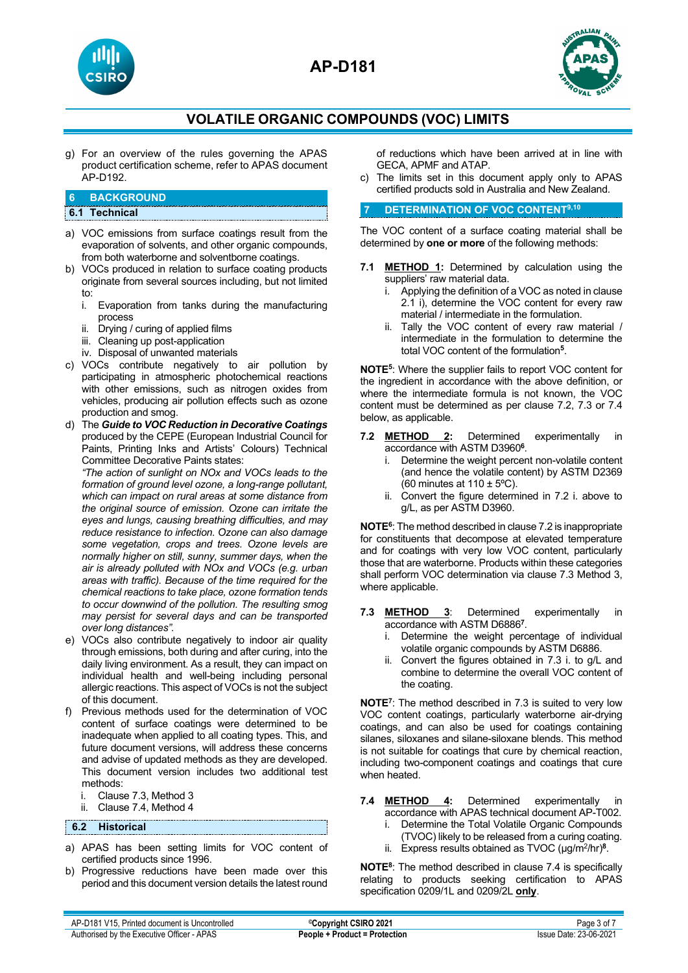



g) For an overview of the rules governing the APAS product certification scheme, refer to APAS document AP-D192.

## **6 BACKGROUND**

## **6.1 Technical**

- a) VOC emissions from surface coatings result from the evaporation of solvents, and other organic compounds, from both waterborne and solventborne coatings.
- b) VOCs produced in relation to surface coating products originate from several sources including, but not limited
	- to:<br>i. Evaporation from tanks during the manufacturing process
	- ii. Drying / curing of applied films
	- iii. Cleaning up post-application
	- iv. Disposal of unwanted materials
- c) VOCs contribute negatively to air pollution by participating in atmospheric photochemical reactions with other emissions, such as nitrogen oxides from vehicles, producing air pollution effects such as ozone production and smog.
- d) The *Guide to VOC Reduction in Decorative Coatings* produced by the CEPE (European Industrial Council for Paints, Printing Inks and Artists' Colours) Technical Committee Decorative Paints states:

*"The action of sunlight on NOx and VOCs leads to the formation of ground level ozone, a long-range pollutant, which can impact on rural areas at some distance from the original source of emission. Ozone can irritate the eyes and lungs, causing breathing difficulties, and may reduce resistance to infection. Ozone can also damage some vegetation, crops and trees. Ozone levels are normally higher on still, sunny, summer days, when the air is already polluted with NOx and VOCs (e.g. urban areas with traffic). Because of the time required for the chemical reactions to take place, ozone formation tends to occur downwind of the pollution. The resulting smog may persist for several days and can be transported over long distances".*

- e) VOCs also contribute negatively to indoor air quality through emissions, both during and after curing, into the daily living environment. As a result, they can impact on individual health and well-being including personal allergic reactions. This aspect of VOCs is not the subject of this document.
- f) Previous methods used for the determination of VOC content of surface coatings were determined to be inadequate when applied to all coating types. This, and future document versions, will address these concerns and advise of updated methods as they are developed. This document version includes two additional test methods:
	- i. Clause 7.3, Method 3
	- ii. Clause 7.4, Method 4

## **6.2 Historical**

- a) APAS has been setting limits for VOC content of certified products since 1996.
- b) Progressive reductions have been made over this period and this document version details the latest round

of reductions which have been arrived at in line with GECA, APMF and ATAP.

c) The limits set in this document apply only to APAS certified products sold in Australia and New Zealand.

## **7 DETERMINATION OF VOC CONTENT9,10**

The VOC content of a surface coating material shall be determined by **one or more** of the following methods:

- **7.1 METHOD 1:** Determined by calculation using the suppliers' raw material data.
	- i. Applying the definition of a VOC as noted in clause 2.1 i), determine the VOC content for every raw material / intermediate in the formulation.
	- ii. Tally the VOC content of every raw material / intermediate in the formulation to determine the total VOC content of the formulation**<sup>5</sup>**.

**NOTE5**: Where the supplier fails to report VOC content for the ingredient in accordance with the above definition, or where the intermediate formula is not known, the VOC content must be determined as per clause 7.2, 7.3 or 7.4 below, as applicable.

- **7.2 METHOD 2:** Determined experimentally in accordance with ASTM D3960**<sup>6</sup>**.
	- i. Determine the weight percent non-volatile content (and hence the volatile content) by ASTM D2369 (60 minutes at  $110 \pm 5^{\circ}$ C).
	- ii. Convert the figure determined in 7.2 i. above to g/L, as per ASTM D3960.

**NOTE6**: The method described in clause 7.2 is inappropriate for constituents that decompose at elevated temperature and for coatings with very low VOC content, particularly those that are waterborne. Products within these categories shall perform VOC determination via clause 7.3 Method 3, where applicable.

- **7.3 METHOD 3**: Determined experimentally in accordance with ASTM D6886**<sup>7</sup>**.
	- i. Determine the weight percentage of individual volatile organic compounds by ASTM D6886.
	- ii. Convert the figures obtained in 7.3 i. to g/L and combine to determine the overall VOC content of the coating.

**NOTE7**: The method described in 7.3 is suited to very low VOC content coatings, particularly waterborne air-drying coatings, and can also be used for coatings containing silanes, siloxanes and silane-siloxane blends. This method is not suitable for coatings that cure by chemical reaction, including two-component coatings and coatings that cure when heated.

- **7.4 METHOD 4:** Determined experimentally in accordance with APAS technical document AP-T002.
	- i. Determine the Total Volatile Organic Compounds
	- (TVOC) likely to be released from a curing coating.
	- ii. Express results obtained as TVOC (µg/m2/hr)**<sup>8</sup>**.

**NOTE8**: The method described in clause 7.4 is specifically relating to products seeking certification to APAS specification 0209/1L and 0209/2L **only**.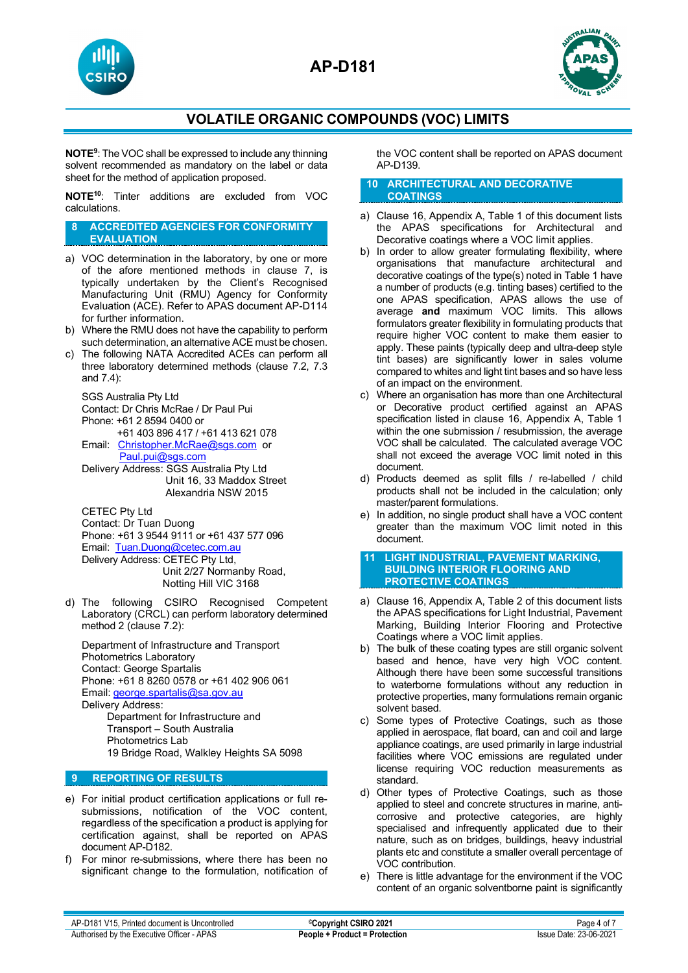**AP-D181**





## **VOLATILE ORGANIC COMPOUNDS (VOC) LIMITS**

**NOTE9**: The VOC shall be expressed to include any thinning solvent recommended as mandatory on the label or data sheet for the method of application proposed.

**NOTE10**: Tinter additions are excluded from VOC calculations.

#### **8 ACCREDITED AGENCIES FOR CONFORMITY EVALUATION**

- a) VOC determination in the laboratory, by one or more of the afore mentioned methods in clause 7, is typically undertaken by the Client's Recognised Manufacturing Unit (RMU) Agency for Conformity Evaluation (ACE). Refer to APAS document AP-D114 for further information.
- b) Where the RMU does not have the capability to perform such determination, an alternative ACE must be chosen.
- c) The following NATA Accredited ACEs can perform all three laboratory determined methods (clause 7.2, 7.3 and 7.4):

SGS Australia Pty Ltd Contact: Dr Chris McRae / Dr Paul Pui Phone: +61 2 8594 0400 or +61 403 896 417 / +61 413 621 078 Email: [Christopher.McRae@sgs.com](mailto:Christopher.McRae@sgs.com) or [Paul.pui@sgs.com](mailto:Paul.pui@sgs.com)

Delivery Address: SGS Australia Pty Ltd Unit 16, 33 Maddox Street Alexandria NSW 2015

CETEC Pty Ltd Contact: Dr Tuan Duong Phone: +61 3 9544 9111 or +61 437 577 096 Email: [Tuan.Duong@cetec.com.au](mailto:Tuan.Duong@cetec.com.au) Delivery Address: CETEC Pty Ltd, Unit 2/27 Normanby Road, Notting Hill VIC 3168

d) The following CSIRO Recognised Competent Laboratory (CRCL) can perform laboratory determined method 2 (clause 7.2):

Department of Infrastructure and Transport Photometrics Laboratory Contact: George Spartalis Phone: +61 8 8260 0578 or +61 402 906 061 Email: [george.spartalis@sa.gov.au](mailto:george.spartalis@sa.gov.au) Delivery Address: Department for Infrastructure and Transport – South Australia Photometrics Lab 19 Bridge Road, Walkley Heights SA 5098

## **9 REPORTING OF RESULTS**

- e) For initial product certification applications or full resubmissions, notification of the VOC content, regardless of the specification a product is applying for certification against, shall be reported on APAS document AP-D182.
- f) For minor re-submissions, where there has been no significant change to the formulation, notification of

the VOC content shall be reported on APAS document AP-D139.

#### **10 ARCHITECTURAL AND DECORATIVE COATINGS**

- a) Clause 16, Appendix A, Table 1 of this document lists the APAS specifications for Architectural and Decorative coatings where a VOC limit applies.
- b) In order to allow greater formulating flexibility, where organisations that manufacture architectural and decorative coatings of the type(s) noted in Table 1 have a number of products (e.g. tinting bases) certified to the one APAS specification, APAS allows the use of average **and** maximum VOC limits. This allows formulators greater flexibility in formulating products that require higher VOC content to make them easier to apply. These paints (typically deep and ultra-deep style tint bases) are significantly lower in sales volume compared to whites and light tint bases and so have less of an impact on the environment.
- c) Where an organisation has more than one Architectural or Decorative product certified against an APAS specification listed in clause 16, Appendix A, Table 1 within the one submission / resubmission, the average VOC shall be calculated. The calculated average VOC shall not exceed the average VOC limit noted in this document.
- d) Products deemed as split fills / re-labelled / child products shall not be included in the calculation; only master/parent formulations.
- e) In addition, no single product shall have a VOC content greater than the maximum VOC limit noted in this document.

#### **11 LIGHT INDUSTRIAL, PAVEMENT MARKING, BUILDING INTERIOR FLOORING AND PROTECTIVE COATINGS**

- a) Clause 16, Appendix A, Table 2 of this document lists the APAS specifications for Light Industrial, Pavement Marking, Building Interior Flooring and Protective Coatings where a VOC limit applies.
- b) The bulk of these coating types are still organic solvent based and hence, have very high VOC content. Although there have been some successful transitions to waterborne formulations without any reduction in protective properties, many formulations remain organic solvent based.
- c) Some types of Protective Coatings, such as those applied in aerospace, flat board, can and coil and large appliance coatings, are used primarily in large industrial facilities where VOC emissions are regulated under license requiring VOC reduction measurements as standard.
- d) Other types of Protective Coatings, such as those applied to steel and concrete structures in marine, anticorrosive and protective categories, are highly specialised and infrequently applicated due to their nature, such as on bridges, buildings, heavy industrial plants etc and constitute a smaller overall percentage of VOC contribution.
- e) There is little advantage for the environment if the VOC content of an organic solventborne paint is significantly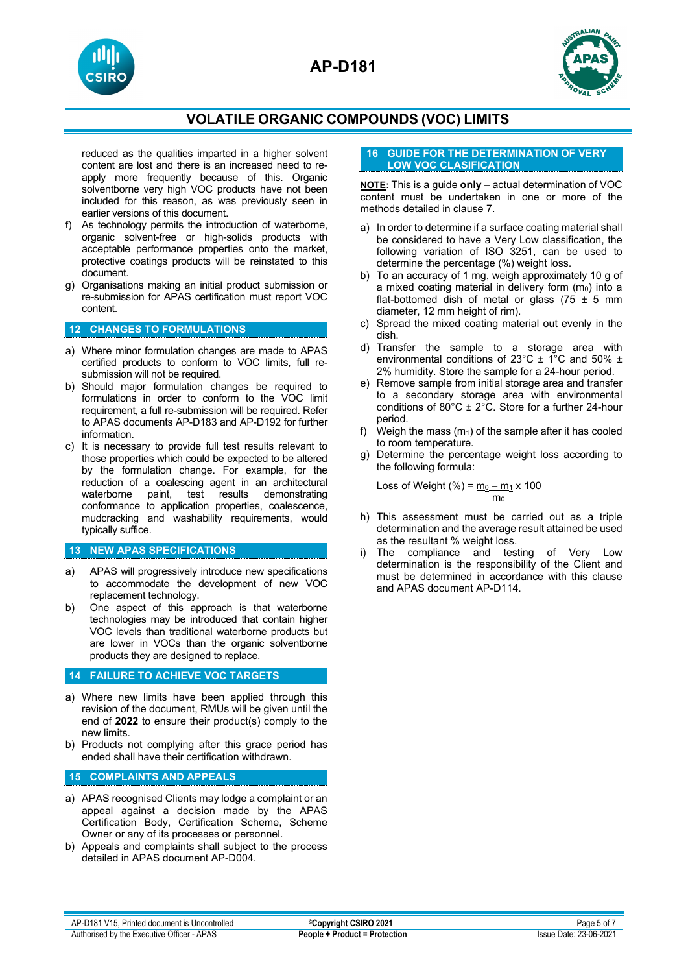





reduced as the qualities imparted in a higher solvent content are lost and there is an increased need to reapply more frequently because of this. Organic solventborne very high VOC products have not been included for this reason, as was previously seen in earlier versions of this document.

- f) As technology permits the introduction of waterborne, organic solvent-free or high-solids products with acceptable performance properties onto the market, protective coatings products will be reinstated to this document.
- g) Organisations making an initial product submission or re-submission for APAS certification must report VOC content.

## **12 CHANGES TO FORMULATIONS**

- a) Where minor formulation changes are made to APAS certified products to conform to VOC limits, full resubmission will not be required.
- b) Should major formulation changes be required to formulations in order to conform to the VOC limit requirement, a full re-submission will be required. Refer to APAS documents AP-D183 and AP-D192 for further information.
- c) It is necessary to provide full test results relevant to those properties which could be expected to be altered by the formulation change. For example, for the reduction of a coalescing agent in an architectural test results demonstrating conformance to application properties, coalescence, mudcracking and washability requirements, would typically suffice.

## **13 NEW APAS SPECIFICATIONS**

- a) APAS will progressively introduce new specifications to accommodate the development of new VOC replacement technology.
- b) One aspect of this approach is that waterborne technologies may be introduced that contain higher VOC levels than traditional waterborne products but are lower in VOCs than the organic solventborne products they are designed to replace.

## **14 FAILURE TO ACHIEVE VOC TARGETS**

- a) Where new limits have been applied through this revision of the document, RMUs will be given until the end of **2022** to ensure their product(s) comply to the new limits.
- b) Products not complying after this grace period has ended shall have their certification withdrawn.

## **15 COMPLAINTS AND APPEALS**

- a) APAS recognised Clients may lodge a complaint or an appeal against a decision made by the APAS Certification Body, Certification Scheme, Scheme Owner or any of its processes or personnel.
- b) Appeals and complaints shall subject to the process detailed in APAS document AP-D004.

### **16 GUIDE FOR THE DETERMINATION OF VERY LOW VOC CLASIFICATION**

**NOTE:** This is a guide **only** – actual determination of VOC content must be undertaken in one or more of the methods detailed in clause 7.

- a) In order to determine if a surface coating material shall be considered to have a Very Low classification, the following variation of ISO 3251, can be used to determine the percentage (%) weight loss.
- b) To an accuracy of 1 mg, weigh approximately 10 g of a mixed coating material in delivery form  $(m_0)$  into a flat-bottomed dish of metal or glass (75  $\pm$  5 mm diameter, 12 mm height of rim).
- c) Spread the mixed coating material out evenly in the dish.
- d) Transfer the sample to a storage area with environmental conditions of 23°C ± 1°C and 50% ± 2% humidity. Store the sample for a 24-hour period.
- e) Remove sample from initial storage area and transfer to a secondary storage area with environmental conditions of  $80^{\circ}$ C ± 2°C. Store for a further 24-hour period.
- f) Weigh the mass  $(m_1)$  of the sample after it has cooled to room temperature.
- g) Determine the percentage weight loss according to the following formula:

Loss of Weight (%) = 
$$
\frac{m_0 - m_1}{m_0} \times 100
$$

- h) This assessment must be carried out as a triple determination and the average result attained be used as the resultant % weight loss.
- i) The compliance and testing of Very Low determination is the responsibility of the Client and must be determined in accordance with this clause and APAS document AP-D114.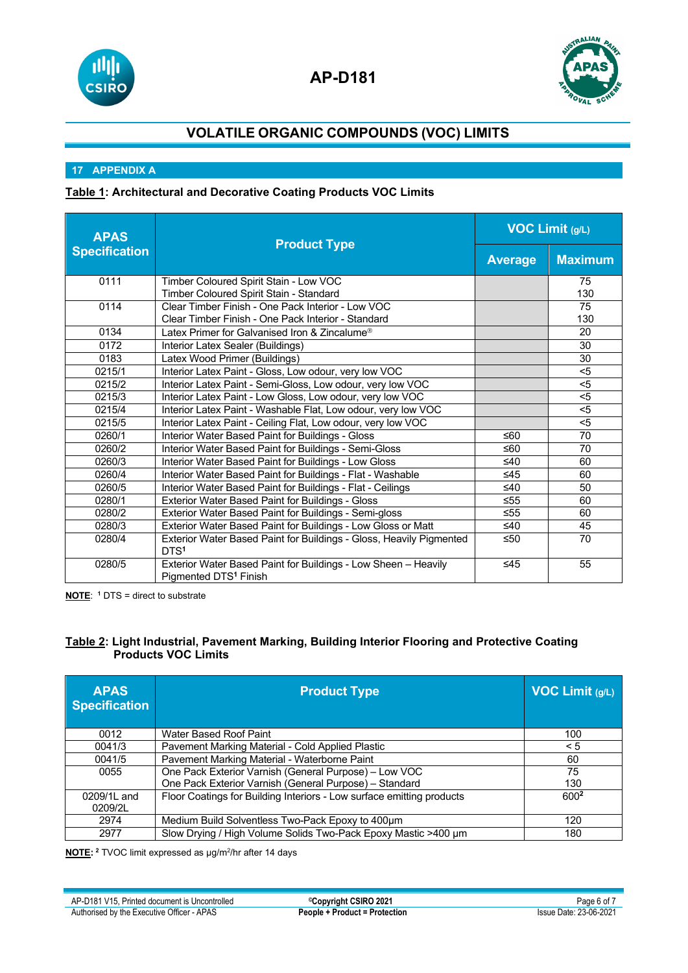



## **17 APPENDIX A**

## **Table 1: Architectural and Decorative Coating Products VOC Limits**

| <b>APAS</b>          |                                                                                                     | <b>VOC Limit (g/L)</b> |                           |
|----------------------|-----------------------------------------------------------------------------------------------------|------------------------|---------------------------|
| <b>Specification</b> | <b>Product Type</b>                                                                                 | <b>Average</b>         | <b>Maximum</b>            |
| 0111                 | Timber Coloured Spirit Stain - Low VOC                                                              |                        | 75                        |
|                      | Timber Coloured Spirit Stain - Standard                                                             |                        | 130                       |
| 0114                 | Clear Timber Finish - One Pack Interior - Low VOC                                                   |                        | 75                        |
|                      | Clear Timber Finish - One Pack Interior - Standard                                                  |                        | 130                       |
| 0134                 | Latex Primer for Galvanised Iron & Zincalume <sup>®</sup>                                           |                        | 20                        |
| 0172                 | Interior Latex Sealer (Buildings)                                                                   |                        | 30                        |
| 0183                 | Latex Wood Primer (Buildings)                                                                       |                        | 30                        |
| 0215/1               | Interior Latex Paint - Gloss, Low odour, very low VOC                                               |                        | $5$                       |
| 0215/2               | Interior Latex Paint - Semi-Gloss, Low odour, very low VOC                                          |                        | $5$                       |
| 0215/3               | Interior Latex Paint - Low Gloss, Low odour, very low VOC                                           |                        | $\overline{5}$            |
| 0215/4               | Interior Latex Paint - Washable Flat, Low odour, very low VOC                                       |                        | $5$                       |
| 0215/5               | Interior Latex Paint - Ceiling Flat, Low odour, very low VOC                                        |                        | $\overline{\overline{5}}$ |
| 0260/1               | Interior Water Based Paint for Buildings - Gloss                                                    |                        | 70                        |
| 0260/2               | Interior Water Based Paint for Buildings - Semi-Gloss                                               | ≤60                    | 70                        |
| 0260/3               | Interior Water Based Paint for Buildings - Low Gloss                                                | ≤40                    | 60                        |
| 0260/4               | Interior Water Based Paint for Buildings - Flat - Washable                                          | $\leq 45$              | 60                        |
| 0260/5               | Interior Water Based Paint for Buildings - Flat - Ceilings                                          | ≤40                    | 50                        |
| 0280/1               | Exterior Water Based Paint for Buildings - Gloss                                                    | ≤55                    | 60                        |
| 0280/2               | Exterior Water Based Paint for Buildings - Semi-gloss                                               | $\leq 55$              | 60                        |
| 0280/3               | Exterior Water Based Paint for Buildings - Low Gloss or Matt                                        | $\leq 40$              | 45                        |
| 0280/4               | Exterior Water Based Paint for Buildings - Gloss, Heavily Pigmented<br>DTS <sup>1</sup>             | ≤50                    | 70                        |
| 0280/5               | Exterior Water Based Paint for Buildings - Low Sheen - Heavily<br>Pigmented DTS <sup>1</sup> Finish | ≤45                    | 55                        |

**NOTE**: **<sup>1</sup>** DTS = direct to substrate

## **Table 2: Light Industrial, Pavement Marking, Building Interior Flooring and Protective Coating Products VOC Limits**

| <b>APAS</b><br><b>Specification</b> | <b>Product Type</b>                                                   | <b>VOC Limit (g/L)</b> |
|-------------------------------------|-----------------------------------------------------------------------|------------------------|
| 0012                                | Water Based Roof Paint                                                | 100                    |
| 0041/3                              | Pavement Marking Material - Cold Applied Plastic                      | $\leq 5$               |
| 0041/5                              | Pavement Marking Material - Waterborne Paint                          | 60                     |
| 0055                                | One Pack Exterior Varnish (General Purpose) - Low VOC                 | 75                     |
|                                     | One Pack Exterior Varnish (General Purpose) - Standard                | 130                    |
| 0209/1L and                         | Floor Coatings for Building Interiors - Low surface emitting products | 600 <sup>2</sup>       |
| 0209/2L                             |                                                                       |                        |
| 2974                                | Medium Build Solventless Two-Pack Epoxy to 400um                      | 120                    |
| 2977                                | Slow Drying / High Volume Solids Two-Pack Epoxy Mastic >400 µm        | 180                    |

**NOTE: <sup>2</sup>** TVOC limit expressed as µg/m2 /hr after 14 days